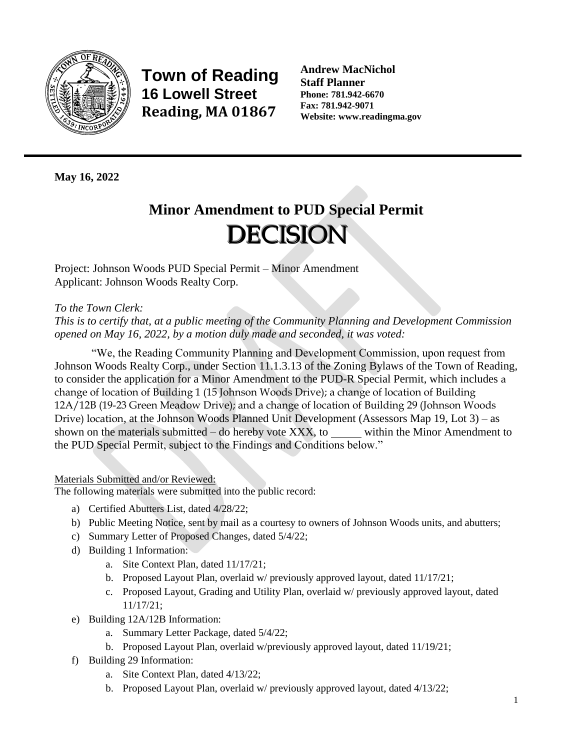

**Town of Reading 16 Lowell Street Reading, MA 01867**

**Andrew MacNichol Staff Planner Phone: 781.942-6670 Fax: 781.942-9071 Website: www.readingma.gov**

**May 16, 2022**

# **Minor Amendment to PUD Special Permit DECISION**

Project: Johnson Woods PUD Special Permit – Minor Amendment Applicant: Johnson Woods Realty Corp.

## *To the Town Clerk:*

*This is to certify that, at a public meeting of the Community Planning and Development Commission opened on May 16, 2022, by a motion duly made and seconded, it was voted:*

"We, the Reading Community Planning and Development Commission, upon request from Johnson Woods Realty Corp., under Section 11.1.3.13 of the Zoning Bylaws of the Town of Reading, to consider the application for a Minor Amendment to the PUD-R Special Permit, which includes a change of location of Building 1 (15 Johnson Woods Drive); a change of location of Building 12A/12B (19-23 Green Meadow Drive); and a change of location of Building 29 (Johnson Woods Drive) location, at the Johnson Woods Planned Unit Development (Assessors Map 19, Lot 3) – as shown on the materials submitted – do hereby vote XXX, to within the Minor Amendment to the PUD Special Permit, subject to the Findings and Conditions below."

## Materials Submitted and/or Reviewed:

The following materials were submitted into the public record:

- a) Certified Abutters List, dated 4/28/22;
- b) Public Meeting Notice, sent by mail as a courtesy to owners of Johnson Woods units, and abutters;
- c) Summary Letter of Proposed Changes, dated 5/4/22;
- d) Building 1 Information:
	- a. Site Context Plan, dated 11/17/21;
	- b. Proposed Layout Plan, overlaid w/ previously approved layout, dated 11/17/21;
	- c. Proposed Layout, Grading and Utility Plan, overlaid w/ previously approved layout, dated 11/17/21;
- e) Building 12A/12B Information:
	- a. Summary Letter Package, dated 5/4/22;
	- b. Proposed Layout Plan, overlaid w/previously approved layout, dated 11/19/21;
- f) Building 29 Information:
	- a. Site Context Plan, dated 4/13/22;
	- b. Proposed Layout Plan, overlaid w/ previously approved layout, dated 4/13/22;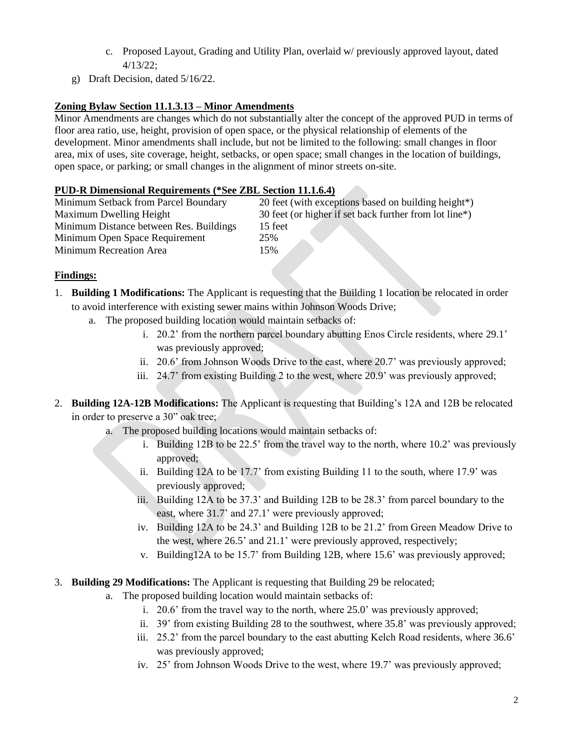- c. Proposed Layout, Grading and Utility Plan, overlaid w/ previously approved layout, dated 4/13/22;
- g) Draft Decision, dated 5/16/22.

## **Zoning Bylaw Section 11.1.3.13 – Minor Amendments**

Minor Amendments are changes which do not substantially alter the concept of the approved PUD in terms of floor area ratio, use, height, provision of open space, or the physical relationship of elements of the development. Minor amendments shall include, but not be limited to the following: small changes in floor area, mix of uses, site coverage, height, setbacks, or open space; small changes in the location of buildings, open space, or parking; or small changes in the alignment of minor streets on-site.

## **PUD-R Dimensional Requirements (\*See ZBL Section 11.1.6.4)**

| Minimum Setback from Parcel Boundary    | 20 feet (with exceptions based on building height*)    |
|-----------------------------------------|--------------------------------------------------------|
| Maximum Dwelling Height                 | 30 feet (or higher if set back further from lot line*) |
| Minimum Distance between Res. Buildings | 15 feet                                                |
| Minimum Open Space Requirement          | 25%                                                    |
| Minimum Recreation Area                 | 15%                                                    |

#### **Findings:**

- 1. **Building 1 Modifications:** The Applicant is requesting that the Building 1 location be relocated in order to avoid interference with existing sewer mains within Johnson Woods Drive;
	- a. The proposed building location would maintain setbacks of:
		- i. 20.2' from the northern parcel boundary abutting Enos Circle residents, where 29.1' was previously approved;
		- ii. 20.6' from Johnson Woods Drive to the east, where 20.7' was previously approved;
		- iii. 24.7' from existing Building 2 to the west, where 20.9' was previously approved;
- 2. **Building 12A-12B Modifications:** The Applicant is requesting that Building's 12A and 12B be relocated in order to preserve a 30" oak tree;
	- a. The proposed building locations would maintain setbacks of:
		- i. Building 12B to be 22.5' from the travel way to the north, where 10.2' was previously approved;
		- ii. Building 12A to be 17.7' from existing Building 11 to the south, where 17.9' was previously approved;
		- iii. Building 12A to be 37.3' and Building 12B to be 28.3' from parcel boundary to the east, where 31.7' and 27.1' were previously approved;
		- iv. Building 12A to be 24.3' and Building 12B to be 21.2' from Green Meadow Drive to the west, where 26.5' and 21.1' were previously approved, respectively;
		- v. Building12A to be 15.7' from Building 12B, where 15.6' was previously approved;
- 3. **Building 29 Modifications:** The Applicant is requesting that Building 29 be relocated;
	- a. The proposed building location would maintain setbacks of:
		- i. 20.6' from the travel way to the north, where 25.0' was previously approved;
		- ii. 39' from existing Building 28 to the southwest, where 35.8' was previously approved;
		- iii. 25.2' from the parcel boundary to the east abutting Kelch Road residents, where 36.6' was previously approved;
		- iv. 25' from Johnson Woods Drive to the west, where 19.7' was previously approved;